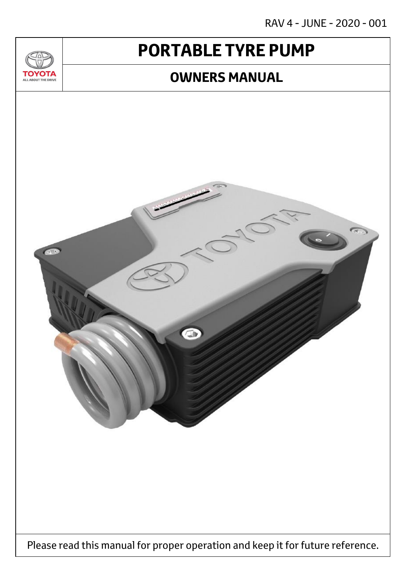RAV 4 - JUNE - 2020 - 001

# **PORTABLE TYRE PUMP**

 $T_{\Delta}$ 

**TOYOTA** ALL ABOUT THE DRIVE

### **OWNERS MANUAL**

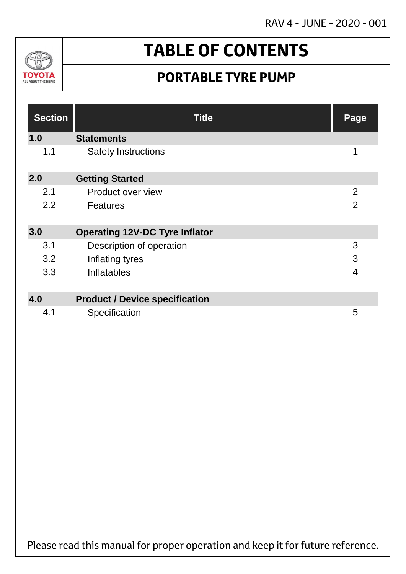RAV 4 - JUNE - 2020 - 001



# **TABLE OF CONTENTS**

## **PORTABLE TYRE PUMP**

| <b>Section</b> | <b>Title</b>                          | Page           |
|----------------|---------------------------------------|----------------|
| 1.0            | <b>Statements</b>                     |                |
| 1.1            | <b>Safety Instructions</b>            | 1              |
| 2.0            | <b>Getting Started</b>                |                |
| 2.1            | Product over view                     | $\overline{2}$ |
| 2.2            | <b>Features</b>                       | $\overline{2}$ |
| 3.0            | <b>Operating 12V-DC Tyre Inflator</b> |                |
| 3.1            | Description of operation              | 3              |
| 3.2            | Inflating tyres                       | 3              |
| 3.3            | Inflatables                           | $\overline{4}$ |
|                |                                       |                |
| 4.0            | <b>Product / Device specification</b> |                |
| 4.1            | Specification                         | 5              |

Please read this manual for proper operation and keep it for future reference.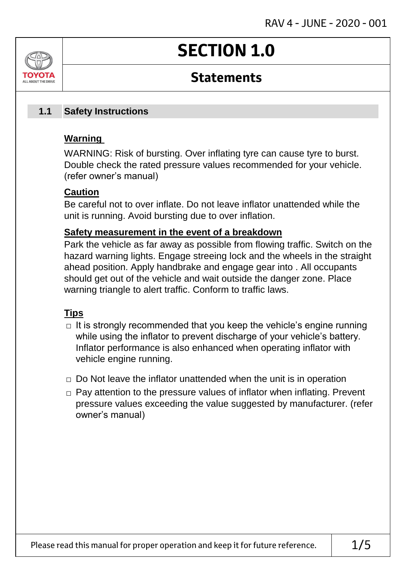# **SECTION 1.0**

### **Statements**

#### **Safety Instructions 1.1**

### **Warning**

ALL AROUT THE DRIV

WARNING: Risk of bursting. Over inflating tyre can cause tyre to burst. Double check the rated pressure values recommended for your vehicle. (refer owner's manual)

### **Caution**

Be careful not to over inflate. Do not leave inflator unattended while the unit is running. Avoid bursting due to over inflation.

### **Safety measurement in the event of a breakdown**

Park the vehicle as far away as possible from flowing traffic. Switch on the hazard warning lights. Engage streeing lock and the wheels in the straight ahead position. Apply handbrake and engage gear into . All occupants should get out of the vehicle and wait outside the danger zone. Place warning triangle to alert traffic. Conform to traffic laws.

### **Tips**

- $\Box$  It is strongly recommended that you keep the vehicle's engine running while using the inflator to prevent discharge of your vehicle's battery. Inflator performance is also enhanced when operating inflator with vehicle engine running.
- $\Box$  Do Not leave the inflator unattended when the unit is in operation
- □ Pay attention to the pressure values of inflator when inflating. Prevent pressure values exceeding the value suggested by manufacturer. (refer owner's manual)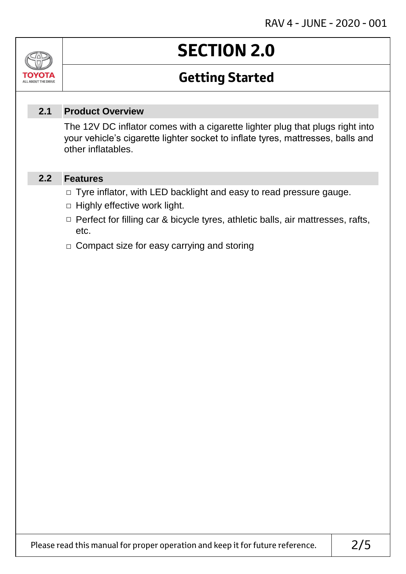# **SECTION 2.0**

## **Getting Started**

#### **Product Overview 2.1**

The 12V DC inflator comes with a cigarette lighter plug that plugs right into your vehicle's cigarette lighter socket to inflate tyres, mattresses, balls and other inflatables.

#### **Features 2.2**

Jn

TOVOIL ALL ABOUT THE DRIVE

- □ Tyre inflator, with LED backlight and easy to read pressure gauge.
- $\Box$  Highly effective work light.
- □ Perfect for filling car & bicycle tyres, athletic balls, air mattresses, rafts, etc.
- □ Compact size for easy carrying and storing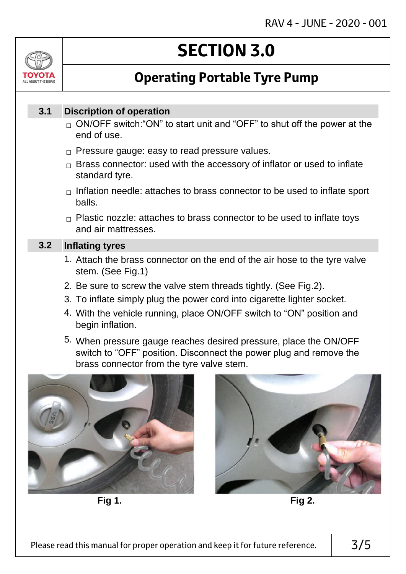

# **SECTION 3.0**

## **Operating Portable Tyre Pump**

#### **Discription of operation 3.1**

- $_\square$  ON/OFF switch:"ON" to start unit and "OFF" to shut off the power at the end of use.
- $\Box$  Pressure gauge: easy to read pressure values.
- $\Box$  Brass connector: used with the accessory of inflator or used to inflate standard tyre.
- $\Box$  Inflation needle: attaches to brass connector to be used to inflate sport balls.
- $\Box$  Plastic nozzle: attaches to brass connector to be used to inflate toys and air mattresses.

#### **Inflating tyres 3.2**

- 1. Attach the brass connector on the end of the air hose to the tyre valve stem. (See Fig.1)
- 2. Be sure to screw the valve stem threads tightly. (See Fig.2).
- 3. To inflate simply plug the power cord into cigarette lighter socket.
- 4. With the vehicle running, place ON/OFF switch to "ON" position and begin inflation.
- 5. When pressure gauge reaches desired pressure, place the ON/OFF switch to "OFF" position. Disconnect the power plug and remove the brass connector from the tyre valve stem.



**Fig 1. Fig 2.**

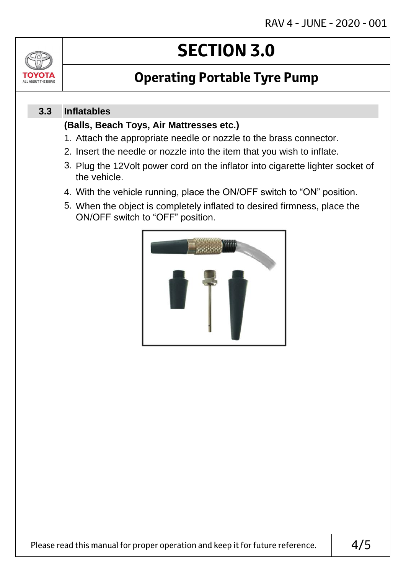

# **SECTION 3.0**

## **Operating Portable Tyre Pump**

#### **Inflatables 3.3**

### **(Balls, Beach Toys, Air Mattresses etc.)**

- 1. Attach the appropriate needle or nozzle to the brass connector.
- 2. Insert the needle or nozzle into the item that you wish to inflate.
- 3. Plug the 12Volt power cord on the inflator into cigarette lighter socket of the vehicle.
- 4. With the vehicle running, place the ON/OFF switch to "ON" position.
- 5. When the object is completely inflated to desired firmness, place the ON/OFF switch to "OFF" position.